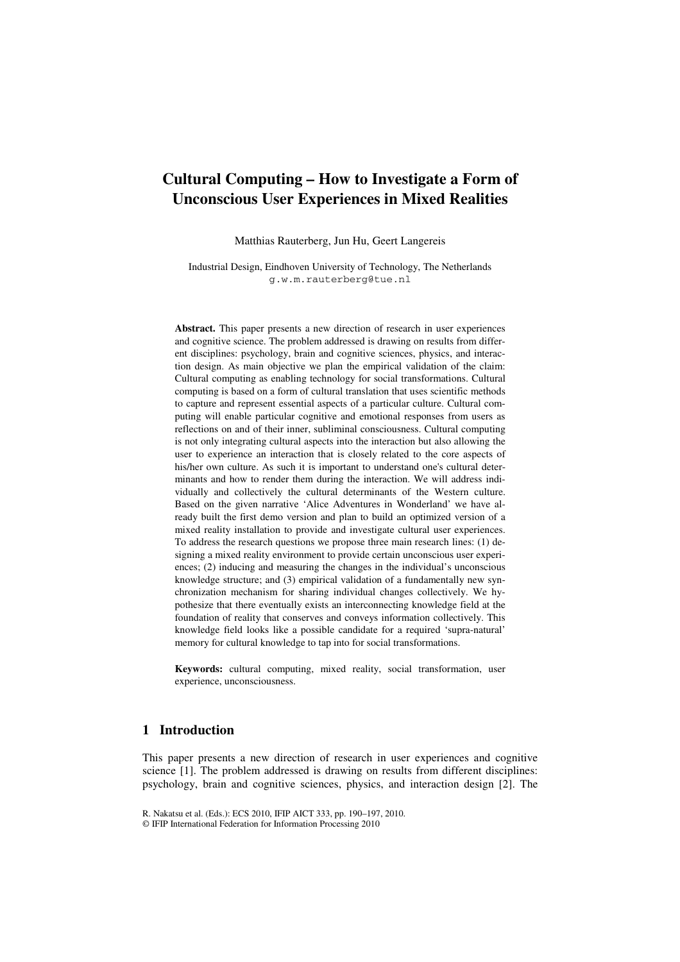# **Cultural Computing – How to Investigate a Form of Unconscious User Experiences in Mixed Realities**

Matthias Rauterberg, Jun Hu, Geert Langereis

Industrial Design, Eindhoven University of Technology, The Netherlands g.w.m.rauterberg@tue.nl

**Abstract.** This paper presents a new direction of research in user experiences and cognitive science. The problem addressed is drawing on results from different disciplines: psychology, brain and cognitive sciences, physics, and interaction design. As main objective we plan the empirical validation of the claim: Cultural computing as enabling technology for social transformations. Cultural computing is based on a form of cultural translation that uses scientific methods to capture and represent essential aspects of a particular culture. Cultural computing will enable particular cognitive and emotional responses from users as reflections on and of their inner, subliminal consciousness. Cultural computing is not only integrating cultural aspects into the interaction but also allowing the user to experience an interaction that is closely related to the core aspects of his/her own culture. As such it is important to understand one's cultural determinants and how to render them during the interaction. We will address individually and collectively the cultural determinants of the Western culture. Based on the given narrative 'Alice Adventures in Wonderland' we have already built the first demo version and plan to build an optimized version of a mixed reality installation to provide and investigate cultural user experiences. To address the research questions we propose three main research lines: (1) designing a mixed reality environment to provide certain unconscious user experiences; (2) inducing and measuring the changes in the individual's unconscious knowledge structure; and (3) empirical validation of a fundamentally new synchronization mechanism for sharing individual changes collectively. We hypothesize that there eventually exists an interconnecting knowledge field at the foundation of reality that conserves and conveys information collectively. This knowledge field looks like a possible candidate for a required 'supra-natural' memory for cultural knowledge to tap into for social transformations.

**Keywords:** cultural computing, mixed reality, social transformation, user experience, unconsciousness.

## **1 Introduction**

This paper presents a new direction of research in user experiences and cognitive science [1]. The problem addressed is drawing on results from different disciplines: psychology, brain and cognitive sciences, physics, and interaction design [2]. The

R. Nakatsu et al. (Eds.): ECS 2010, IFIP AICT 333, pp. 190–197, 2010.

<sup>©</sup> IFIP International Federation for Information Processing 2010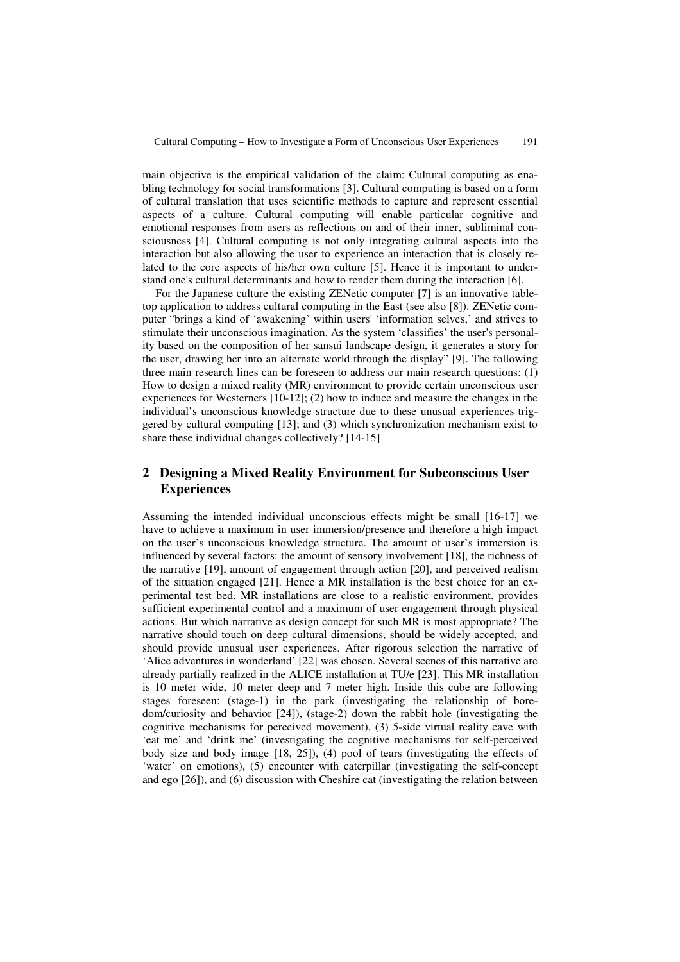main objective is the empirical validation of the claim: Cultural computing as enabling technology for social transformations [3]. Cultural computing is based on a form of cultural translation that uses scientific methods to capture and represent essential aspects of a culture. Cultural computing will enable particular cognitive and emotional responses from users as reflections on and of their inner, subliminal consciousness [4]. Cultural computing is not only integrating cultural aspects into the interaction but also allowing the user to experience an interaction that is closely related to the core aspects of his/her own culture [5]. Hence it is important to understand one's cultural determinants and how to render them during the interaction [6].

For the Japanese culture the existing ZENetic computer [7] is an innovative tabletop application to address cultural computing in the East (see also [8]). ZENetic computer "brings a kind of 'awakening' within users' 'information selves,' and strives to stimulate their unconscious imagination. As the system 'classifies' the user's personality based on the composition of her sansui landscape design, it generates a story for the user, drawing her into an alternate world through the display" [9]. The following three main research lines can be foreseen to address our main research questions: (1) How to design a mixed reality (MR) environment to provide certain unconscious user experiences for Westerners [10-12]; (2) how to induce and measure the changes in the individual's unconscious knowledge structure due to these unusual experiences triggered by cultural computing [13]; and (3) which synchronization mechanism exist to share these individual changes collectively? [14-15]

## **2 Designing a Mixed Reality Environment for Subconscious User Experiences**

Assuming the intended individual unconscious effects might be small [16-17] we have to achieve a maximum in user immersion/presence and therefore a high impact on the user's unconscious knowledge structure. The amount of user's immersion is influenced by several factors: the amount of sensory involvement [18], the richness of the narrative [19], amount of engagement through action [20], and perceived realism of the situation engaged [21]. Hence a MR installation is the best choice for an experimental test bed. MR installations are close to a realistic environment, provides sufficient experimental control and a maximum of user engagement through physical actions. But which narrative as design concept for such MR is most appropriate? The narrative should touch on deep cultural dimensions, should be widely accepted, and should provide unusual user experiences. After rigorous selection the narrative of 'Alice adventures in wonderland' [22] was chosen. Several scenes of this narrative are already partially realized in the ALICE installation at TU/e [23]. This MR installation is 10 meter wide, 10 meter deep and 7 meter high. Inside this cube are following stages foreseen: (stage-1) in the park (investigating the relationship of boredom/curiosity and behavior [24]), (stage-2) down the rabbit hole (investigating the cognitive mechanisms for perceived movement), (3) 5-side virtual reality cave with 'eat me' and 'drink me' (investigating the cognitive mechanisms for self-perceived body size and body image [18, 25]), (4) pool of tears (investigating the effects of 'water' on emotions), (5) encounter with caterpillar (investigating the self-concept and ego [26]), and (6) discussion with Cheshire cat (investigating the relation between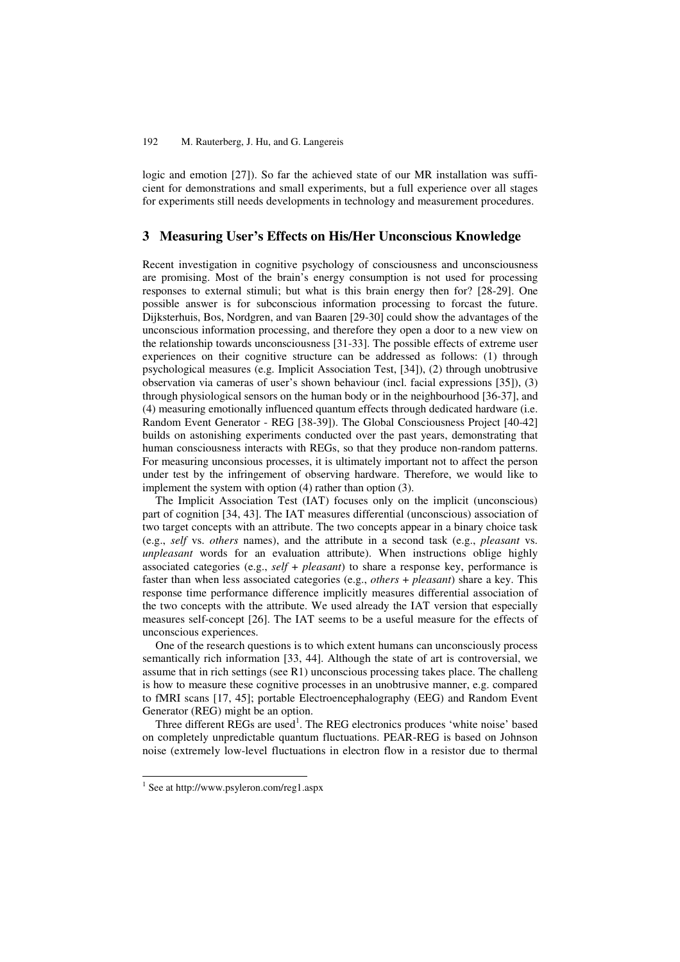logic and emotion [27]). So far the achieved state of our MR installation was sufficient for demonstrations and small experiments, but a full experience over all stages for experiments still needs developments in technology and measurement procedures.

### **3 Measuring User's Effects on His/Her Unconscious Knowledge**

Recent investigation in cognitive psychology of consciousness and unconsciousness are promising. Most of the brain's energy consumption is not used for processing responses to external stimuli; but what is this brain energy then for? [28-29]. One possible answer is for subconscious information processing to forcast the future. Dijksterhuis, Bos, Nordgren, and van Baaren [29-30] could show the advantages of the unconscious information processing, and therefore they open a door to a new view on the relationship towards unconsciousness [31-33]. The possible effects of extreme user experiences on their cognitive structure can be addressed as follows: (1) through psychological measures (e.g. Implicit Association Test, [34]), (2) through unobtrusive observation via cameras of user's shown behaviour (incl. facial expressions [35]), (3) through physiological sensors on the human body or in the neighbourhood [36-37], and (4) measuring emotionally influenced quantum effects through dedicated hardware (i.e. Random Event Generator - REG [38-39]). The Global Consciousness Project [40-42] builds on astonishing experiments conducted over the past years, demonstrating that human consciousness interacts with REGs, so that they produce non-random patterns. For measuring unconsious processes, it is ultimately important not to affect the person under test by the infringement of observing hardware. Therefore, we would like to implement the system with option (4) rather than option (3).

The Implicit Association Test (IAT) focuses only on the implicit (unconscious) part of cognition [34, 43]. The IAT measures differential (unconscious) association of two target concepts with an attribute. The two concepts appear in a binary choice task (e.g., *self* vs. *others* names), and the attribute in a second task (e.g., *pleasant* vs. *unpleasant* words for an evaluation attribute). When instructions oblige highly associated categories (e.g., *self* + *pleasant*) to share a response key, performance is faster than when less associated categories (e.g., *others* + *pleasant*) share a key. This response time performance difference implicitly measures differential association of the two concepts with the attribute. We used already the IAT version that especially measures self-concept [26]. The IAT seems to be a useful measure for the effects of unconscious experiences.

One of the research questions is to which extent humans can unconsciously process semantically rich information [33, 44]. Although the state of art is controversial, we assume that in rich settings (see R1) unconscious processing takes place. The challeng is how to measure these cognitive processes in an unobtrusive manner, e.g. compared to fMRI scans [17, 45]; portable Electroencephalography (EEG) and Random Event Generator (REG) might be an option.

Three different REGs are used<sup>1</sup>. The REG electronics produces 'white noise' based on completely unpredictable quantum fluctuations. PEAR-REG is based on Johnson noise (extremely low-level fluctuations in electron flow in a resistor due to thermal

 1 See at http://www.psyleron.com/reg1.aspx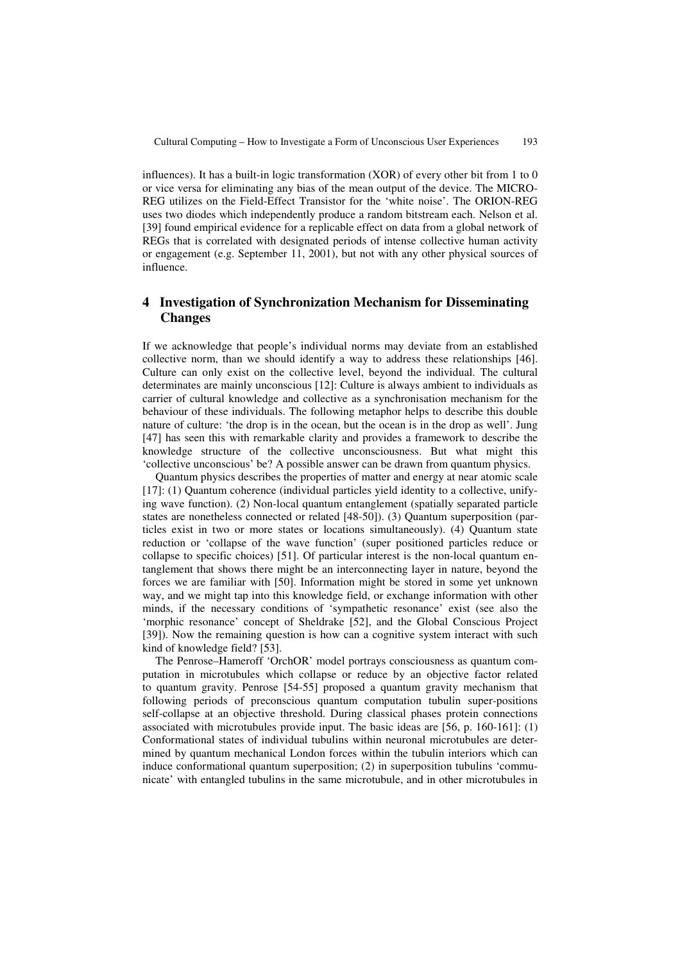influences). It has a built-in logic transformation (XOR) of every other bit from 1 to 0 or vice versa for eliminating any bias of the mean output of the device. The MICRO-REG utilizes on the Field-Effect Transistor for the 'white noise'. The ORION-REG uses two diodes which independently produce a random bitstream each. Nelson et al. [39] found empirical evidence for a replicable effect on data from a global network of REGs that is correlated with designated periods of intense collective human activity or engagement (e.g. September 11, 2001), but not with any other physical sources of influence.

## **4 Investigation of Synchronization Mechanism for Disseminating Changes**

If we acknowledge that people's individual norms may deviate from an established collective norm, than we should identify a way to address these relationships [46]. Culture can only exist on the collective level, beyond the individual. The cultural determinates are mainly unconscious [12]: Culture is always ambient to individuals as carrier of cultural knowledge and collective as a synchronisation mechanism for the behaviour of these individuals. The following metaphor helps to describe this double nature of culture: 'the drop is in the ocean, but the ocean is in the drop as well'. Jung [47] has seen this with remarkable clarity and provides a framework to describe the knowledge structure of the collective unconsciousness. But what might this 'collective unconscious' be? A possible answer can be drawn from quantum physics.

Quantum physics describes the properties of matter and energy at near atomic scale [17]: (1) Quantum coherence (individual particles yield identity to a collective, unifying wave function). (2) Non-local quantum entanglement (spatially separated particle states are nonetheless connected or related [48-50]). (3) Quantum superposition (particles exist in two or more states or locations simultaneously). (4) Quantum state reduction or 'collapse of the wave function' (super positioned particles reduce or collapse to specific choices) [51]. Of particular interest is the non-local quantum entanglement that shows there might be an interconnecting layer in nature, beyond the forces we are familiar with [50]. Information might be stored in some yet unknown way, and we might tap into this knowledge field, or exchange information with other minds, if the necessary conditions of 'sympathetic resonance' exist (see also the 'morphic resonance' concept of Sheldrake [52], and the Global Conscious Project [39]). Now the remaining question is how can a cognitive system interact with such kind of knowledge field? [53].

The Penrose–Hameroff 'OrchOR' model portrays consciousness as quantum computation in microtubules which collapse or reduce by an objective factor related to quantum gravity. Penrose [54-55] proposed a quantum gravity mechanism that following periods of preconscious quantum computation tubulin super-positions self-collapse at an objective threshold. During classical phases protein connections associated with microtubules provide input. The basic ideas are [56, p. 160-161]: (1) Conformational states of individual tubulins within neuronal microtubules are determined by quantum mechanical London forces within the tubulin interiors which can induce conformational quantum superposition; (2) in superposition tubulins 'communicate' with entangled tubulins in the same microtubule, and in other microtubules in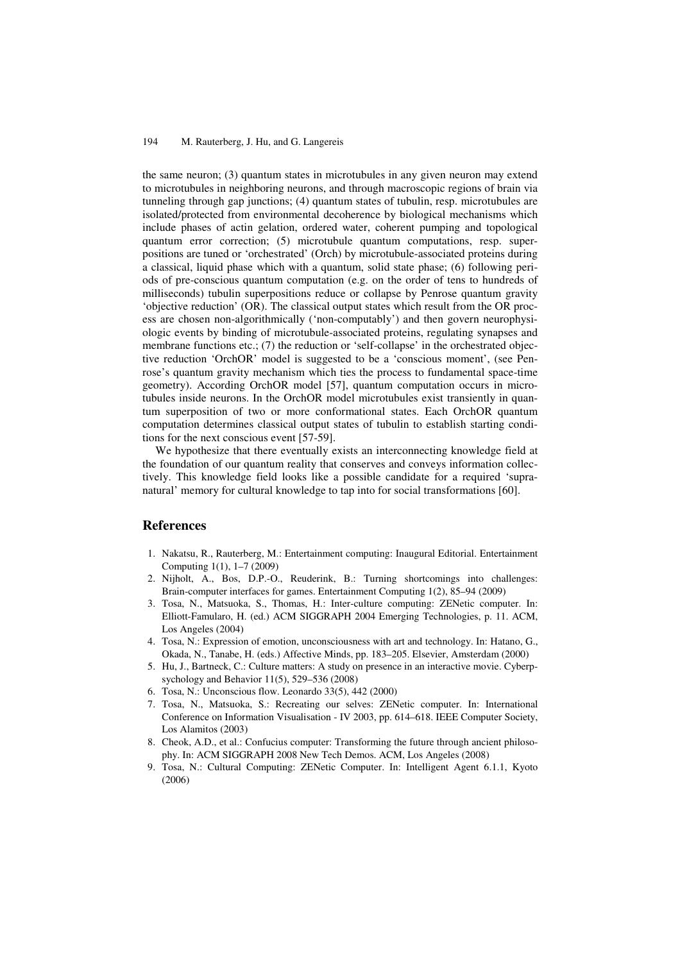#### 194 M. Rauterberg, J. Hu, and G. Langereis

the same neuron; (3) quantum states in microtubules in any given neuron may extend to microtubules in neighboring neurons, and through macroscopic regions of brain via tunneling through gap junctions; (4) quantum states of tubulin, resp. microtubules are isolated/protected from environmental decoherence by biological mechanisms which include phases of actin gelation, ordered water, coherent pumping and topological quantum error correction; (5) microtubule quantum computations, resp. superpositions are tuned or 'orchestrated' (Orch) by microtubule-associated proteins during a classical, liquid phase which with a quantum, solid state phase; (6) following periods of pre-conscious quantum computation (e.g. on the order of tens to hundreds of milliseconds) tubulin superpositions reduce or collapse by Penrose quantum gravity 'objective reduction' (OR). The classical output states which result from the OR process are chosen non-algorithmically ('non-computably') and then govern neurophysiologic events by binding of microtubule-associated proteins, regulating synapses and membrane functions etc.; (7) the reduction or 'self-collapse' in the orchestrated objective reduction 'OrchOR' model is suggested to be a 'conscious moment', (see Penrose's quantum gravity mechanism which ties the process to fundamental space-time geometry). According OrchOR model [57], quantum computation occurs in microtubules inside neurons. In the OrchOR model microtubules exist transiently in quantum superposition of two or more conformational states. Each OrchOR quantum computation determines classical output states of tubulin to establish starting conditions for the next conscious event [57-59].

We hypothesize that there eventually exists an interconnecting knowledge field at the foundation of our quantum reality that conserves and conveys information collectively. This knowledge field looks like a possible candidate for a required 'supranatural' memory for cultural knowledge to tap into for social transformations [60].

#### **References**

- 1. Nakatsu, R., Rauterberg, M.: Entertainment computing: Inaugural Editorial. Entertainment Computing 1(1), 1–7 (2009)
- 2. Nijholt, A., Bos, D.P.-O., Reuderink, B.: Turning shortcomings into challenges: Brain-computer interfaces for games. Entertainment Computing 1(2), 85–94 (2009)
- 3. Tosa, N., Matsuoka, S., Thomas, H.: Inter-culture computing: ZENetic computer. In: Elliott-Famularo, H. (ed.) ACM SIGGRAPH 2004 Emerging Technologies, p. 11. ACM, Los Angeles (2004)
- 4. Tosa, N.: Expression of emotion, unconsciousness with art and technology. In: Hatano, G., Okada, N., Tanabe, H. (eds.) Affective Minds, pp. 183–205. Elsevier, Amsterdam (2000)
- 5. Hu, J., Bartneck, C.: Culture matters: A study on presence in an interactive movie. Cyberpsychology and Behavior 11(5), 529–536 (2008)
- 6. Tosa, N.: Unconscious flow. Leonardo 33(5), 442 (2000)
- 7. Tosa, N., Matsuoka, S.: Recreating our selves: ZENetic computer. In: International Conference on Information Visualisation - IV 2003, pp. 614–618. IEEE Computer Society, Los Alamitos (2003)
- 8. Cheok, A.D., et al.: Confucius computer: Transforming the future through ancient philosophy. In: ACM SIGGRAPH 2008 New Tech Demos. ACM, Los Angeles (2008)
- 9. Tosa, N.: Cultural Computing: ZENetic Computer. In: Intelligent Agent 6.1.1, Kyoto (2006)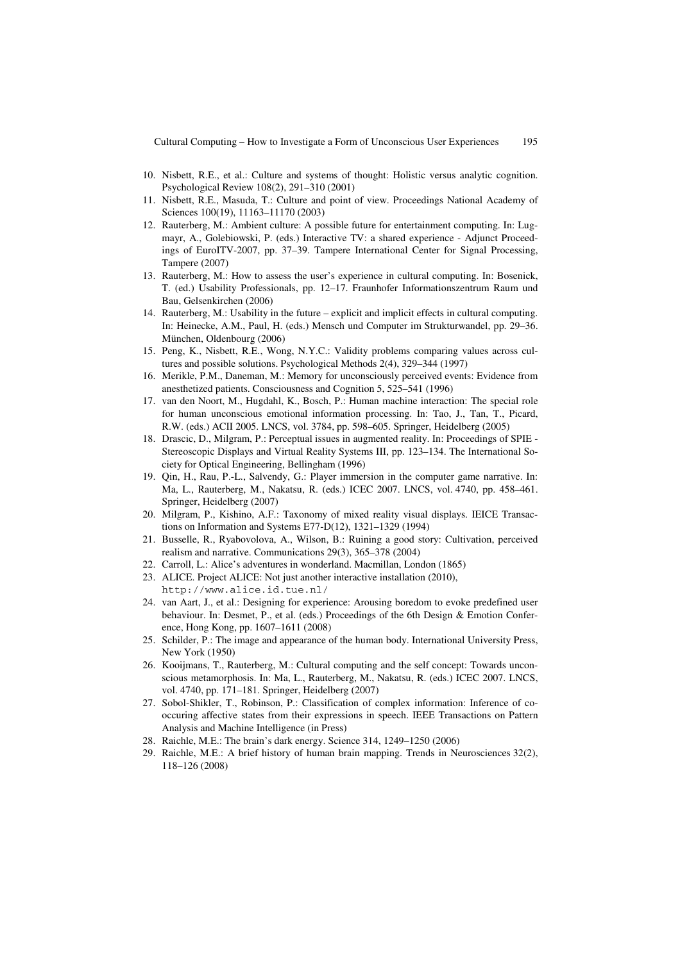- 10. Nisbett, R.E., et al.: Culture and systems of thought: Holistic versus analytic cognition. Psychological Review 108(2), 291–310 (2001)
- 11. Nisbett, R.E., Masuda, T.: Culture and point of view. Proceedings National Academy of Sciences 100(19), 11163–11170 (2003)
- 12. Rauterberg, M.: Ambient culture: A possible future for entertainment computing. In: Lugmayr, A., Golebiowski, P. (eds.) Interactive TV: a shared experience - Adjunct Proceedings of EuroITV-2007, pp. 37–39. Tampere International Center for Signal Processing, Tampere (2007)
- 13. Rauterberg, M.: How to assess the user's experience in cultural computing. In: Bosenick, T. (ed.) Usability Professionals, pp. 12–17. Fraunhofer Informationszentrum Raum und Bau, Gelsenkirchen (2006)
- 14. Rauterberg, M.: Usability in the future explicit and implicit effects in cultural computing. In: Heinecke, A.M., Paul, H. (eds.) Mensch und Computer im Strukturwandel, pp. 29–36. München, Oldenbourg (2006)
- 15. Peng, K., Nisbett, R.E., Wong, N.Y.C.: Validity problems comparing values across cultures and possible solutions. Psychological Methods 2(4), 329–344 (1997)
- 16. Merikle, P.M., Daneman, M.: Memory for unconsciously perceived events: Evidence from anesthetized patients. Consciousness and Cognition 5, 525–541 (1996)
- 17. van den Noort, M., Hugdahl, K., Bosch, P.: Human machine interaction: The special role for human unconscious emotional information processing. In: Tao, J., Tan, T., Picard, R.W. (eds.) ACII 2005. LNCS, vol. 3784, pp. 598–605. Springer, Heidelberg (2005)
- 18. Drascic, D., Milgram, P.: Perceptual issues in augmented reality. In: Proceedings of SPIE Stereoscopic Displays and Virtual Reality Systems III, pp. 123–134. The International Society for Optical Engineering, Bellingham (1996)
- 19. Qin, H., Rau, P.-L., Salvendy, G.: Player immersion in the computer game narrative. In: Ma, L., Rauterberg, M., Nakatsu, R. (eds.) ICEC 2007. LNCS, vol. 4740, pp. 458–461. Springer, Heidelberg (2007)
- 20. Milgram, P., Kishino, A.F.: Taxonomy of mixed reality visual displays. IEICE Transactions on Information and Systems E77-D(12), 1321–1329 (1994)
- 21. Busselle, R., Ryabovolova, A., Wilson, B.: Ruining a good story: Cultivation, perceived realism and narrative. Communications 29(3), 365–378 (2004)
- 22. Carroll, L.: Alice's adventures in wonderland. Macmillan, London (1865)
- 23. ALICE. Project ALICE: Not just another interactive installation (2010), http://www.alice.id.tue.nl/
- 24. van Aart, J., et al.: Designing for experience: Arousing boredom to evoke predefined user behaviour. In: Desmet, P., et al. (eds.) Proceedings of the 6th Design & Emotion Conference, Hong Kong, pp. 1607–1611 (2008)
- 25. Schilder, P.: The image and appearance of the human body. International University Press, New York (1950)
- 26. Kooijmans, T., Rauterberg, M.: Cultural computing and the self concept: Towards unconscious metamorphosis. In: Ma, L., Rauterberg, M., Nakatsu, R. (eds.) ICEC 2007. LNCS, vol. 4740, pp. 171–181. Springer, Heidelberg (2007)
- 27. Sobol-Shikler, T., Robinson, P.: Classification of complex information: Inference of cooccuring affective states from their expressions in speech. IEEE Transactions on Pattern Analysis and Machine Intelligence (in Press)
- 28. Raichle, M.E.: The brain's dark energy. Science 314, 1249–1250 (2006)
- 29. Raichle, M.E.: A brief history of human brain mapping. Trends in Neurosciences 32(2), 118–126 (2008)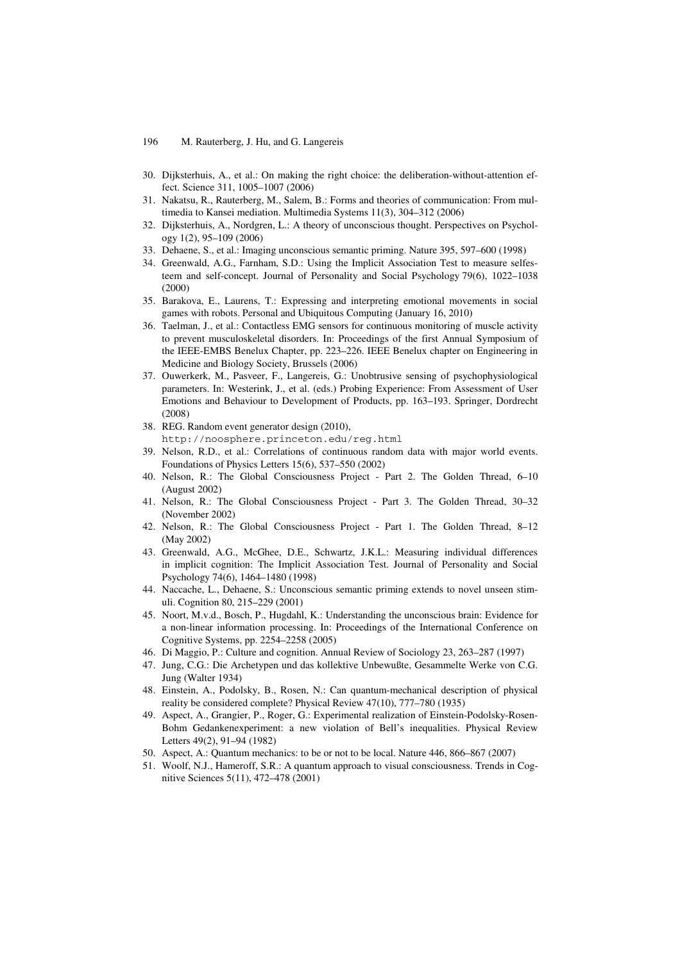- 30. Dijksterhuis, A., et al.: On making the right choice: the deliberation-without-attention effect. Science 311, 1005–1007 (2006)
- 31. Nakatsu, R., Rauterberg, M., Salem, B.: Forms and theories of communication: From multimedia to Kansei mediation. Multimedia Systems 11(3), 304–312 (2006)
- 32. Dijksterhuis, A., Nordgren, L.: A theory of unconscious thought. Perspectives on Psychology 1(2), 95–109 (2006)
- 33. Dehaene, S., et al.: Imaging unconscious semantic priming. Nature 395, 597–600 (1998)
- 34. Greenwald, A.G., Farnham, S.D.: Using the Implicit Association Test to measure selfesteem and self-concept. Journal of Personality and Social Psychology 79(6), 1022–1038 (2000)
- 35. Barakova, E., Laurens, T.: Expressing and interpreting emotional movements in social games with robots. Personal and Ubiquitous Computing (January 16, 2010)
- 36. Taelman, J., et al.: Contactless EMG sensors for continuous monitoring of muscle activity to prevent musculoskeletal disorders. In: Proceedings of the first Annual Symposium of the IEEE-EMBS Benelux Chapter, pp. 223–226. IEEE Benelux chapter on Engineering in Medicine and Biology Society, Brussels (2006)
- 37. Ouwerkerk, M., Pasveer, F., Langereis, G.: Unobtrusive sensing of psychophysiological parameters. In: Westerink, J., et al. (eds.) Probing Experience: From Assessment of User Emotions and Behaviour to Development of Products, pp. 163–193. Springer, Dordrecht (2008)
- 38. REG. Random event generator design (2010), http://noosphere.princeton.edu/reg.html
- 39. Nelson, R.D., et al.: Correlations of continuous random data with major world events. Foundations of Physics Letters 15(6), 537–550 (2002)
- 40. Nelson, R.: The Global Consciousness Project Part 2. The Golden Thread, 6–10 (August 2002)
- 41. Nelson, R.: The Global Consciousness Project Part 3. The Golden Thread, 30–32 (November 2002)
- 42. Nelson, R.: The Global Consciousness Project Part 1. The Golden Thread, 8–12 (May 2002)
- 43. Greenwald, A.G., McGhee, D.E., Schwartz, J.K.L.: Measuring individual differences in implicit cognition: The Implicit Association Test. Journal of Personality and Social Psychology 74(6), 1464–1480 (1998)
- 44. Naccache, L., Dehaene, S.: Unconscious semantic priming extends to novel unseen stimuli. Cognition 80, 215–229 (2001)
- 45. Noort, M.v.d., Bosch, P., Hugdahl, K.: Understanding the unconscious brain: Evidence for a non-linear information processing. In: Proceedings of the International Conference on Cognitive Systems, pp. 2254–2258 (2005)
- 46. Di Maggio, P.: Culture and cognition. Annual Review of Sociology 23, 263–287 (1997)
- 47. Jung, C.G.: Die Archetypen und das kollektive Unbewußte, Gesammelte Werke von C.G. Jung (Walter 1934)
- 48. Einstein, A., Podolsky, B., Rosen, N.: Can quantum-mechanical description of physical reality be considered complete? Physical Review 47(10), 777–780 (1935)
- 49. Aspect, A., Grangier, P., Roger, G.: Experimental realization of Einstein-Podolsky-Rosen-Bohm Gedankenexperiment: a new violation of Bell's inequalities. Physical Review Letters 49(2), 91–94 (1982)
- 50. Aspect, A.: Quantum mechanics: to be or not to be local. Nature 446, 866–867 (2007)
- 51. Woolf, N.J., Hameroff, S.R.: A quantum approach to visual consciousness. Trends in Cognitive Sciences 5(11), 472–478 (2001)